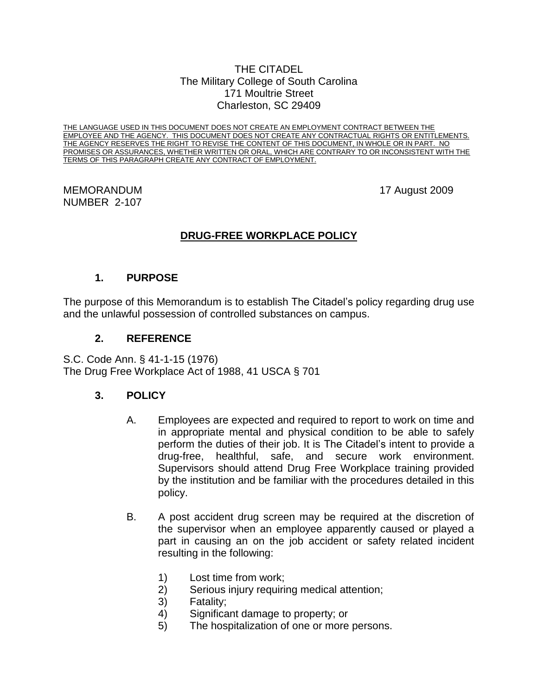#### THE CITADEL The Military College of South Carolina 171 Moultrie Street Charleston, SC 29409

THE LANGUAGE USED IN THIS DOCUMENT DOES NOT CREATE AN EMPLOYMENT CONTRACT BETWEEN THE EMPLOYEE AND THE AGENCY. THIS DOCUMENT DOES NOT CREATE ANY CONTRACTUAL RIGHTS OR ENTITLEMENTS. THE AGENCY RESERVES THE RIGHT TO REVISE THE CONTENT OF THIS DOCUMENT, IN WHOLE OR IN PART. NO PROMISES OR ASSURANCES, WHETHER WRITTEN OR ORAL, WHICH ARE CONTRARY TO OR INCONSISTENT WITH THE TERMS OF THIS PARAGRAPH CREATE ANY CONTRACT OF EMPLOYMENT.

MEMORANDUM 17 August 2009 NUMBER 2-107

# **DRUG-FREE WORKPLACE POLICY**

## **1. PURPOSE**

The purpose of this Memorandum is to establish The Citadel's policy regarding drug use and the unlawful possession of controlled substances on campus.

## **2. REFERENCE**

S.C. Code Ann. § 41-1-15 (1976) The Drug Free Workplace Act of 1988, 41 USCA § 701

## **3. POLICY**

- A. Employees are expected and required to report to work on time and in appropriate mental and physical condition to be able to safely perform the duties of their job. It is The Citadel's intent to provide a drug-free, healthful, safe, and secure work environment. Supervisors should attend Drug Free Workplace training provided by the institution and be familiar with the procedures detailed in this policy.
- B. A post accident drug screen may be required at the discretion of the supervisor when an employee apparently caused or played a part in causing an on the job accident or safety related incident resulting in the following:
	- 1) Lost time from work;
	- 2) Serious injury requiring medical attention;
	- 3) Fatality;
	- 4) Significant damage to property; or
	- 5) The hospitalization of one or more persons.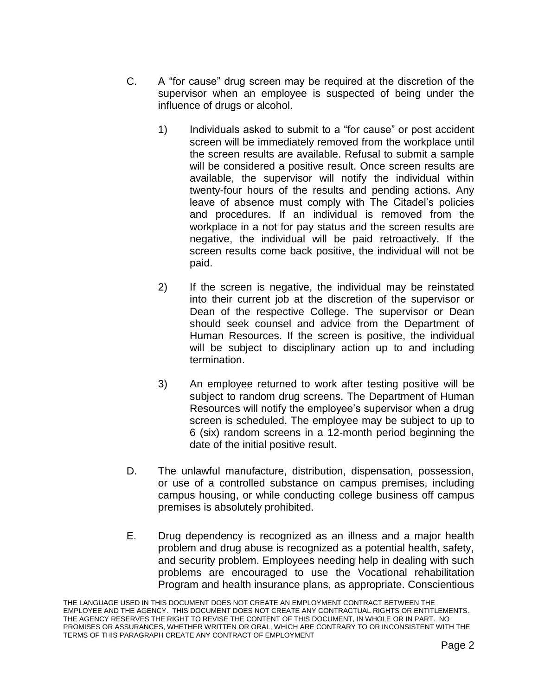- C. A "for cause" drug screen may be required at the discretion of the supervisor when an employee is suspected of being under the influence of drugs or alcohol.
	- 1) Individuals asked to submit to a "for cause" or post accident screen will be immediately removed from the workplace until the screen results are available. Refusal to submit a sample will be considered a positive result. Once screen results are available, the supervisor will notify the individual within twenty-four hours of the results and pending actions. Any leave of absence must comply with The Citadel's policies and procedures. If an individual is removed from the workplace in a not for pay status and the screen results are negative, the individual will be paid retroactively. If the screen results come back positive, the individual will not be paid.
	- 2) If the screen is negative, the individual may be reinstated into their current job at the discretion of the supervisor or Dean of the respective College. The supervisor or Dean should seek counsel and advice from the Department of Human Resources. If the screen is positive, the individual will be subject to disciplinary action up to and including termination.
	- 3) An employee returned to work after testing positive will be subject to random drug screens. The Department of Human Resources will notify the employee's supervisor when a drug screen is scheduled. The employee may be subject to up to 6 (six) random screens in a 12-month period beginning the date of the initial positive result.
- D. The unlawful manufacture, distribution, dispensation, possession, or use of a controlled substance on campus premises, including campus housing, or while conducting college business off campus premises is absolutely prohibited.
- E. Drug dependency is recognized as an illness and a major health problem and drug abuse is recognized as a potential health, safety, and security problem. Employees needing help in dealing with such problems are encouraged to use the Vocational rehabilitation Program and health insurance plans, as appropriate. Conscientious

THE LANGUAGE USED IN THIS DOCUMENT DOES NOT CREATE AN EMPLOYMENT CONTRACT BETWEEN THE EMPLOYEE AND THE AGENCY. THIS DOCUMENT DOES NOT CREATE ANY CONTRACTUAL RIGHTS OR ENTITLEMENTS. THE AGENCY RESERVES THE RIGHT TO REVISE THE CONTENT OF THIS DOCUMENT, IN WHOLE OR IN PART. NO PROMISES OR ASSURANCES, WHETHER WRITTEN OR ORAL, WHICH ARE CONTRARY TO OR INCONSISTENT WITH THE TERMS OF THIS PARAGRAPH CREATE ANY CONTRACT OF EMPLOYMENT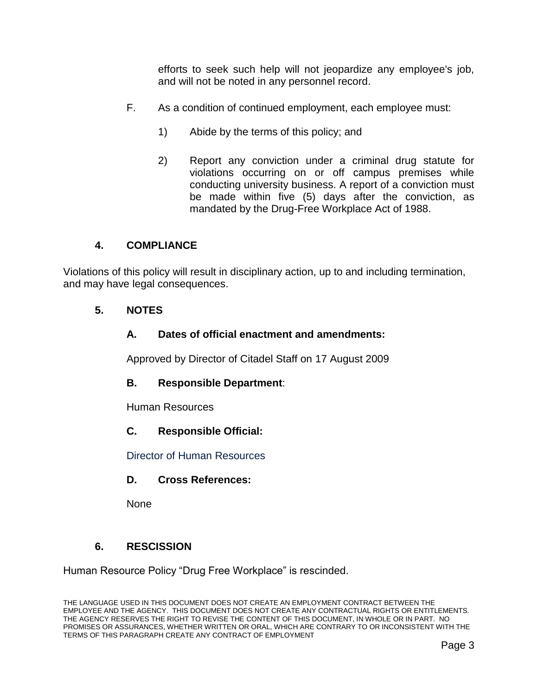efforts to seek such help will not jeopardize any employee's job, and will not be noted in any personnel record.

- F. As a condition of continued employment, each employee must:
	- 1) Abide by the terms of this policy; and
	- 2) Report any conviction under a criminal drug statute for violations occurring on or off campus premises while conducting university business. A report of a conviction must be made within five (5) days after the conviction, as mandated by the Drug-Free Workplace Act of 1988.

## **4. COMPLIANCE**

Violations of this policy will result in disciplinary action, up to and including termination, and may have legal consequences.

## **5. NOTES**

## **A. Dates of official enactment and amendments:**

Approved by Director of Citadel Staff on 17 August 2009

## **B. Responsible Department**:

Human Resources

**C. Responsible Official:**

Director of Human Resources

## **D. Cross References:**

None

## **6. RESCISSION**

Human Resource Policy "Drug Free Workplace" is rescinded.

THE LANGUAGE USED IN THIS DOCUMENT DOES NOT CREATE AN EMPLOYMENT CONTRACT BETWEEN THE EMPLOYEE AND THE AGENCY. THIS DOCUMENT DOES NOT CREATE ANY CONTRACTUAL RIGHTS OR ENTITLEMENTS. THE AGENCY RESERVES THE RIGHT TO REVISE THE CONTENT OF THIS DOCUMENT, IN WHOLE OR IN PART. NO PROMISES OR ASSURANCES, WHETHER WRITTEN OR ORAL, WHICH ARE CONTRARY TO OR INCONSISTENT WITH THE TERMS OF THIS PARAGRAPH CREATE ANY CONTRACT OF EMPLOYMENT